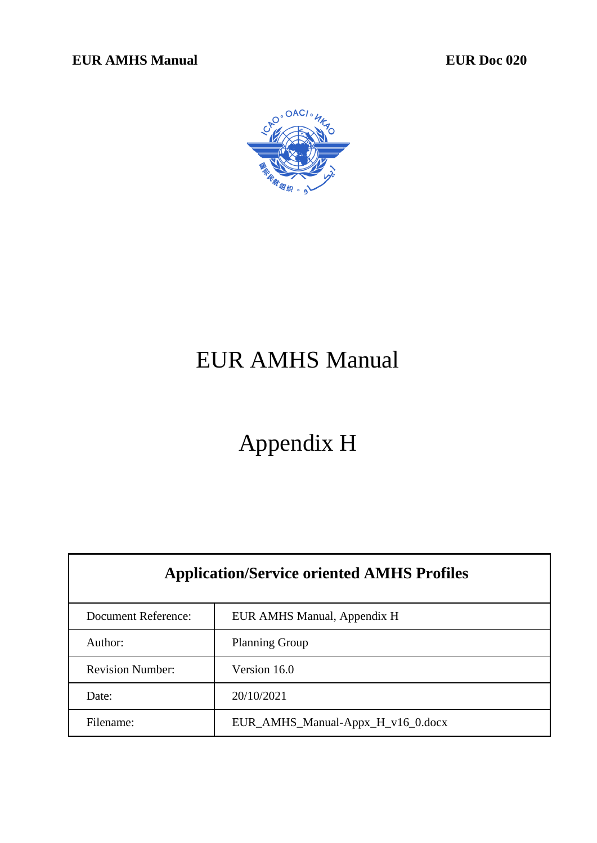**EUR AMHS Manual EUR Doc 020** 



# EUR AMHS Manual

# Appendix H

| <b>Application/Service oriented AMHS Profiles</b> |                                   |  |  |
|---------------------------------------------------|-----------------------------------|--|--|
| Document Reference:                               | EUR AMHS Manual, Appendix H       |  |  |
| Author:                                           | <b>Planning Group</b>             |  |  |
| <b>Revision Number:</b>                           | Version 16.0                      |  |  |
| Date:                                             | 20/10/2021                        |  |  |
| Filename:                                         | EUR_AMHS_Manual-Appx_H_v16_0.docx |  |  |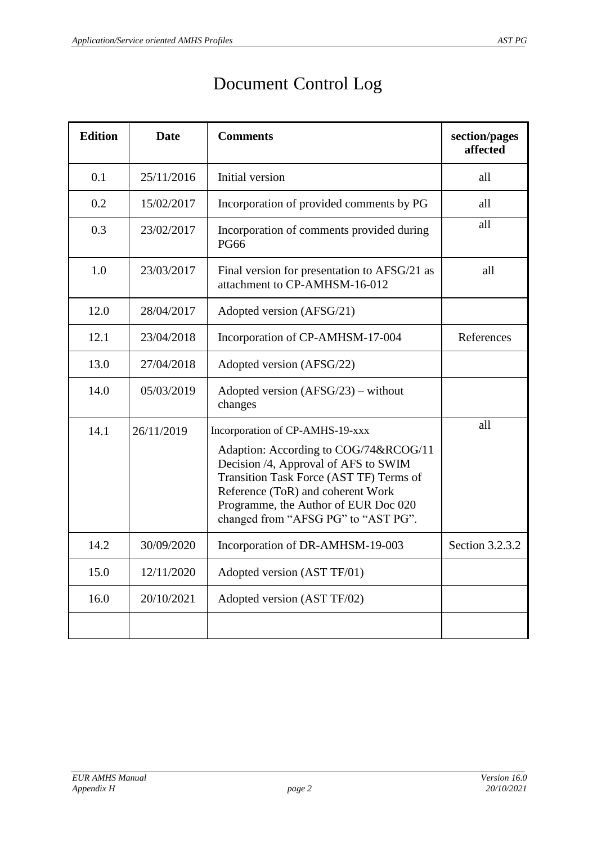| <b>Edition</b> | <b>Date</b> | <b>Comments</b>                                                                                                                                                                                                                                                                 | section/pages<br>affected |
|----------------|-------------|---------------------------------------------------------------------------------------------------------------------------------------------------------------------------------------------------------------------------------------------------------------------------------|---------------------------|
| 0.1            | 25/11/2016  | Initial version                                                                                                                                                                                                                                                                 | all                       |
| 0.2            | 15/02/2017  | Incorporation of provided comments by PG                                                                                                                                                                                                                                        | all                       |
| 0.3            | 23/02/2017  | Incorporation of comments provided during<br><b>PG66</b>                                                                                                                                                                                                                        | all                       |
| 1.0            | 23/03/2017  | Final version for presentation to AFSG/21 as<br>attachment to CP-AMHSM-16-012                                                                                                                                                                                                   | all                       |
| 12.0           | 28/04/2017  | Adopted version (AFSG/21)                                                                                                                                                                                                                                                       |                           |
| 12.1           | 23/04/2018  | Incorporation of CP-AMHSM-17-004                                                                                                                                                                                                                                                | References                |
| 13.0           | 27/04/2018  | Adopted version (AFSG/22)                                                                                                                                                                                                                                                       |                           |
| 14.0           | 05/03/2019  | Adopted version $(AFSG/23)$ – without<br>changes                                                                                                                                                                                                                                |                           |
| 14.1           | 26/11/2019  | Incorporation of CP-AMHS-19-xxx<br>Adaption: According to COG/74&RCOG/11<br>Decision /4, Approval of AFS to SWIM<br>Transition Task Force (AST TF) Terms of<br>Reference (ToR) and coherent Work<br>Programme, the Author of EUR Doc 020<br>changed from "AFSG PG" to "AST PG". | all                       |
| 14.2           | 30/09/2020  | Incorporation of DR-AMHSM-19-003                                                                                                                                                                                                                                                | Section 3.2.3.2           |
| 15.0           | 12/11/2020  | Adopted version (AST TF/01)                                                                                                                                                                                                                                                     |                           |
| 16.0           | 20/10/2021  | Adopted version (AST TF/02)                                                                                                                                                                                                                                                     |                           |
|                |             |                                                                                                                                                                                                                                                                                 |                           |

## Document Control Log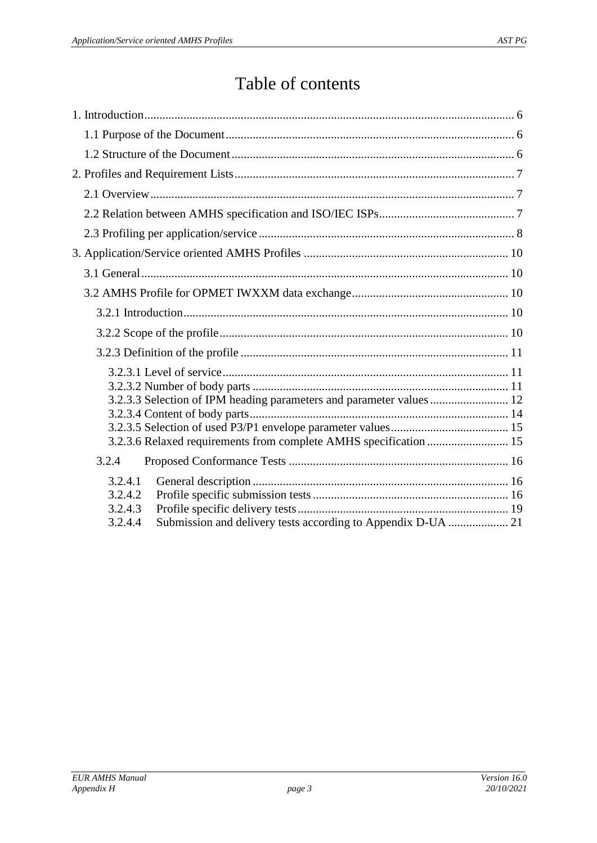## Table of contents

| 3.2.3.3 Selection of IPM heading parameters and parameter values  12                                     |
|----------------------------------------------------------------------------------------------------------|
| 3.2.4                                                                                                    |
| 3.2.4.1<br>3.2.4.2<br>3.2.4.3<br>Submission and delivery tests according to Appendix D-UA  21<br>3.2.4.4 |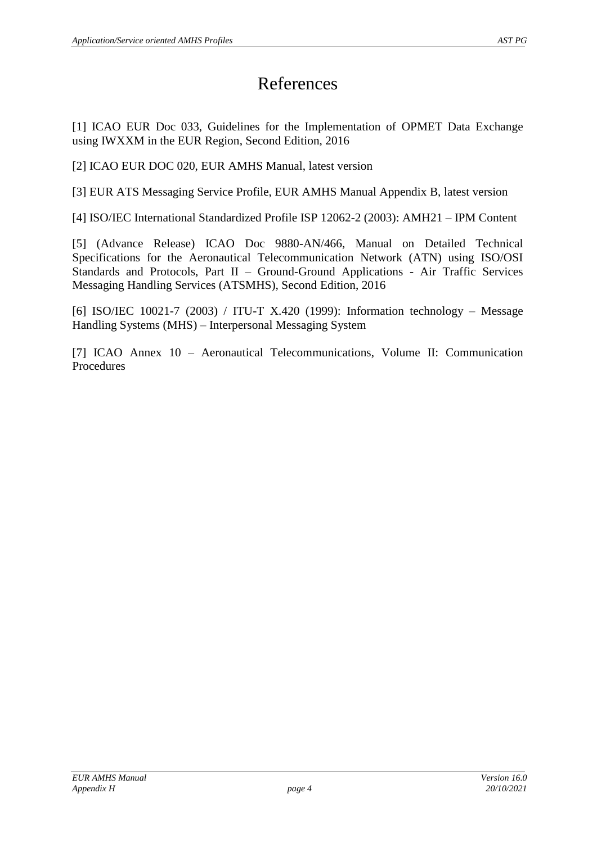## References

<span id="page-3-2"></span>[1] ICAO EUR Doc 033, Guidelines for the Implementation of OPMET Data Exchange using IWXXM in the EUR Region, Second Edition, 2016

<span id="page-3-3"></span>[2] ICAO EUR DOC 020, EUR AMHS Manual, latest version

<span id="page-3-1"></span>[3] EUR ATS Messaging Service Profile, EUR AMHS Manual Appendix B, latest version

[4] ISO/IEC International Standardized Profile ISP 12062-2 (2003): AMH21 – IPM Content

<span id="page-3-0"></span>[5] (Advance Release) ICAO Doc 9880-AN/466, Manual on Detailed Technical Specifications for the Aeronautical Telecommunication Network (ATN) using ISO/OSI Standards and Protocols, Part II – Ground-Ground Applications - Air Traffic Services Messaging Handling Services (ATSMHS), Second Edition, 2016

<span id="page-3-4"></span>[6] ISO/IEC 10021-7 (2003) / ITU-T X.420 (1999): Information technology – Message Handling Systems (MHS) – Interpersonal Messaging System

[7] ICAO Annex 10 – Aeronautical Telecommunications, Volume II: Communication Procedures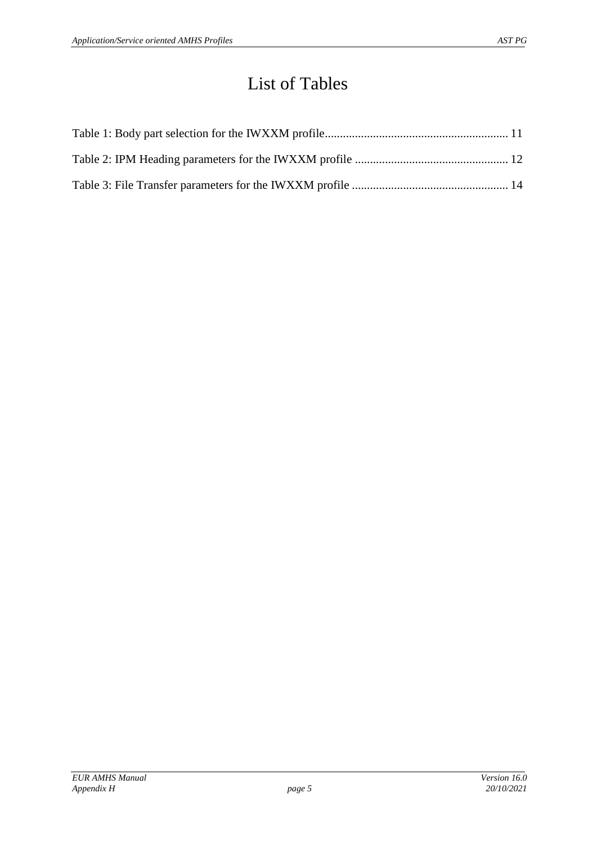## List of Tables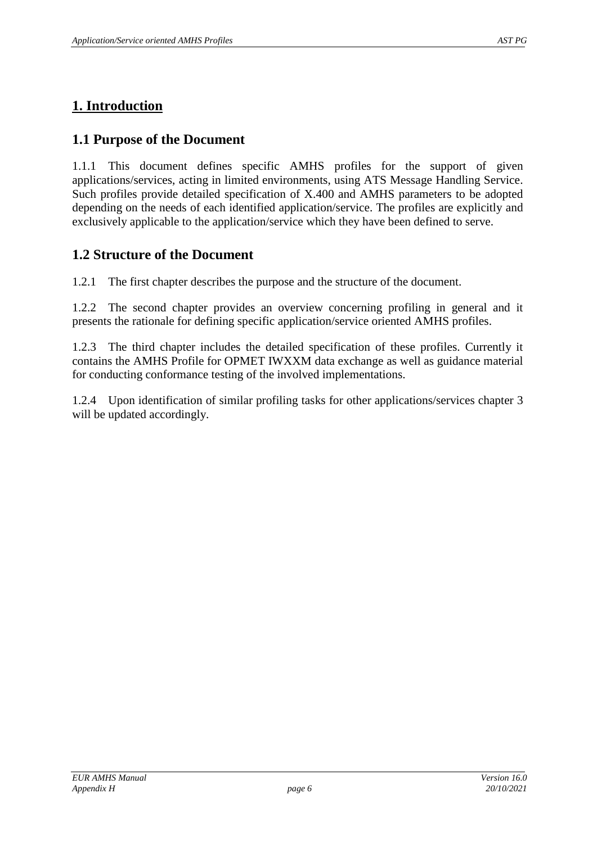## <span id="page-5-0"></span>**1. Introduction**

### <span id="page-5-1"></span>**1.1 Purpose of the Document**

1.1.1 This document defines specific AMHS profiles for the support of given applications/services, acting in limited environments, using ATS Message Handling Service. Such profiles provide detailed specification of X.400 and AMHS parameters to be adopted depending on the needs of each identified application/service. The profiles are explicitly and exclusively applicable to the application/service which they have been defined to serve.

## <span id="page-5-2"></span>**1.2 Structure of the Document**

1.2.1 The first chapter describes the purpose and the structure of the document.

1.2.2 The second chapter provides an overview concerning profiling in general and it presents the rationale for defining specific application/service oriented AMHS profiles.

1.2.3 The third chapter includes the detailed specification of these profiles. Currently it contains the AMHS Profile for OPMET IWXXM data exchange as well as guidance material for conducting conformance testing of the involved implementations.

1.2.4 Upon identification of similar profiling tasks for other applications/services chapter 3 will be updated accordingly.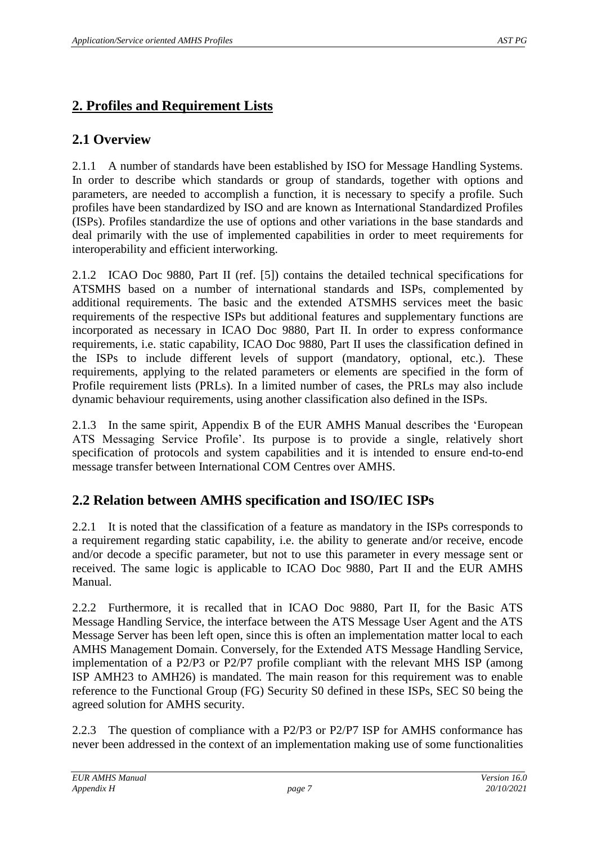## <span id="page-6-0"></span>**2. Profiles and Requirement Lists**

## <span id="page-6-1"></span>**2.1 Overview**

2.1.1 A number of standards have been established by ISO for Message Handling Systems. In order to describe which standards or group of standards, together with options and parameters, are needed to accomplish a function, it is necessary to specify a profile. Such profiles have been standardized by ISO and are known as International Standardized Profiles (ISPs). Profiles standardize the use of options and other variations in the base standards and deal primarily with the use of implemented capabilities in order to meet requirements for interoperability and efficient interworking.

2.1.2 ICAO Doc 9880, Part II (ref. [\[5\]\)](#page-3-0) contains the detailed technical specifications for ATSMHS based on a number of international standards and ISPs, complemented by additional requirements. The basic and the extended ATSMHS services meet the basic requirements of the respective ISPs but additional features and supplementary functions are incorporated as necessary in ICAO Doc 9880, Part II. In order to express conformance requirements, i.e. static capability, ICAO Doc 9880, Part II uses the classification defined in the ISPs to include different levels of support (mandatory, optional, etc.). These requirements, applying to the related parameters or elements are specified in the form of Profile requirement lists (PRLs). In a limited number of cases, the PRLs may also include dynamic behaviour requirements, using another classification also defined in the ISPs.

2.1.3 In the same spirit, Appendix B of the EUR AMHS Manual describes the 'European ATS Messaging Service Profile'. Its purpose is to provide a single, relatively short specification of protocols and system capabilities and it is intended to ensure end-to-end message transfer between International COM Centres over AMHS.

## <span id="page-6-2"></span>**2.2 Relation between AMHS specification and ISO/IEC ISPs**

2.2.1 It is noted that the classification of a feature as mandatory in the ISPs corresponds to a requirement regarding static capability, i.e. the ability to generate and/or receive, encode and/or decode a specific parameter, but not to use this parameter in every message sent or received. The same logic is applicable to ICAO Doc 9880, Part II and the EUR AMHS Manual.

2.2.2 Furthermore, it is recalled that in ICAO Doc 9880, Part II, for the Basic ATS Message Handling Service, the interface between the ATS Message User Agent and the ATS Message Server has been left open, since this is often an implementation matter local to each AMHS Management Domain. Conversely, for the Extended ATS Message Handling Service, implementation of a P2/P3 or P2/P7 profile compliant with the relevant MHS ISP (among ISP AMH23 to AMH26) is mandated. The main reason for this requirement was to enable reference to the Functional Group (FG) Security S0 defined in these ISPs, SEC S0 being the agreed solution for AMHS security.

2.2.3 The question of compliance with a P2/P3 or P2/P7 ISP for AMHS conformance has never been addressed in the context of an implementation making use of some functionalities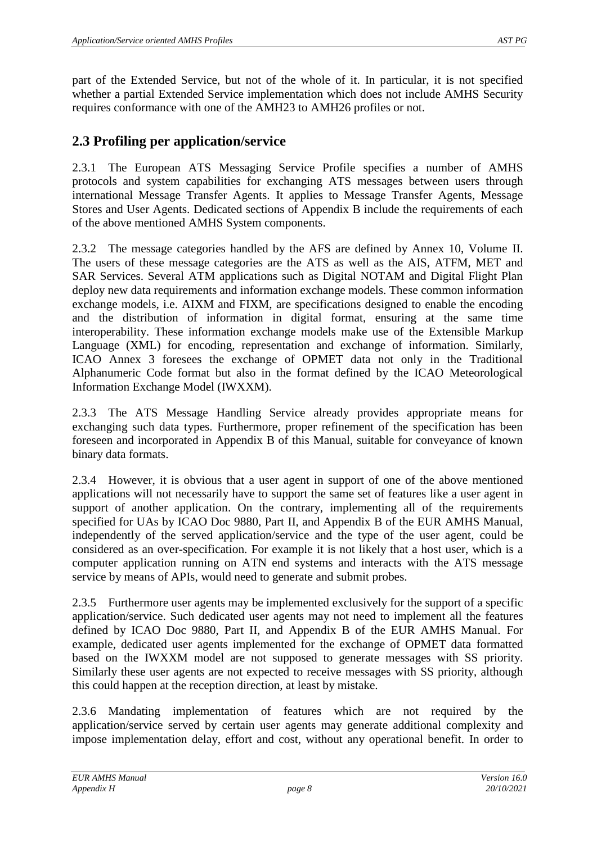part of the Extended Service, but not of the whole of it. In particular, it is not specified whether a partial Extended Service implementation which does not include AMHS Security requires conformance with one of the AMH23 to AMH26 profiles or not.

### <span id="page-7-0"></span>**2.3 Profiling per application/service**

2.3.1 The European ATS Messaging Service Profile specifies a number of AMHS protocols and system capabilities for exchanging ATS messages between users through international Message Transfer Agents. It applies to Message Transfer Agents, Message Stores and User Agents. Dedicated sections of Appendix B include the requirements of each of the above mentioned AMHS System components.

2.3.2 The message categories handled by the AFS are defined by Annex 10, Volume II. The users of these message categories are the ATS as well as the AIS, ATFM, MET and SAR Services. Several ATM applications such as Digital NOTAM and Digital Flight Plan deploy new data requirements and information exchange models. These common information exchange models, i.e. AIXM and FIXM, are specifications designed to enable the encoding and the distribution of information in digital format, ensuring at the same time interoperability. These information exchange models make use of the Extensible Markup Language (XML) for encoding, representation and exchange of information. Similarly, ICAO Annex 3 foresees the exchange of OPMET data not only in the Traditional Alphanumeric Code format but also in the format defined by the ICAO Meteorological Information Exchange Model (IWXXM).

2.3.3 The ATS Message Handling Service already provides appropriate means for exchanging such data types. Furthermore, proper refinement of the specification has been foreseen and incorporated in Appendix B of this Manual, suitable for conveyance of known binary data formats.

2.3.4 However, it is obvious that a user agent in support of one of the above mentioned applications will not necessarily have to support the same set of features like a user agent in support of another application. On the contrary, implementing all of the requirements specified for UAs by ICAO Doc 9880, Part II, and Appendix B of the EUR AMHS Manual, independently of the served application/service and the type of the user agent, could be considered as an over-specification. For example it is not likely that a host user, which is a computer application running on ATN end systems and interacts with the ATS message service by means of APIs, would need to generate and submit probes.

2.3.5 Furthermore user agents may be implemented exclusively for the support of a specific application/service. Such dedicated user agents may not need to implement all the features defined by ICAO Doc 9880, Part II, and Appendix B of the EUR AMHS Manual. For example, dedicated user agents implemented for the exchange of OPMET data formatted based on the IWXXM model are not supposed to generate messages with SS priority. Similarly these user agents are not expected to receive messages with SS priority, although this could happen at the reception direction, at least by mistake.

2.3.6 Mandating implementation of features which are not required by the application/service served by certain user agents may generate additional complexity and impose implementation delay, effort and cost, without any operational benefit. In order to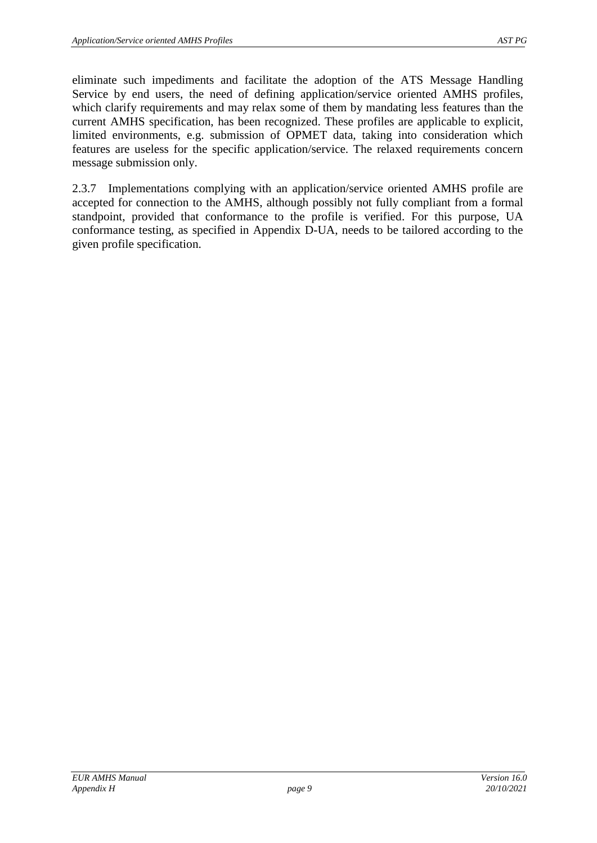eliminate such impediments and facilitate the adoption of the ATS Message Handling Service by end users, the need of defining application/service oriented AMHS profiles, which clarify requirements and may relax some of them by mandating less features than the current AMHS specification, has been recognized. These profiles are applicable to explicit, limited environments, e.g. submission of OPMET data, taking into consideration which features are useless for the specific application/service. The relaxed requirements concern message submission only.

2.3.7 Implementations complying with an application/service oriented AMHS profile are accepted for connection to the AMHS, although possibly not fully compliant from a formal standpoint, provided that conformance to the profile is verified. For this purpose, UA conformance testing, as specified in Appendix D-UA, needs to be tailored according to the given profile specification.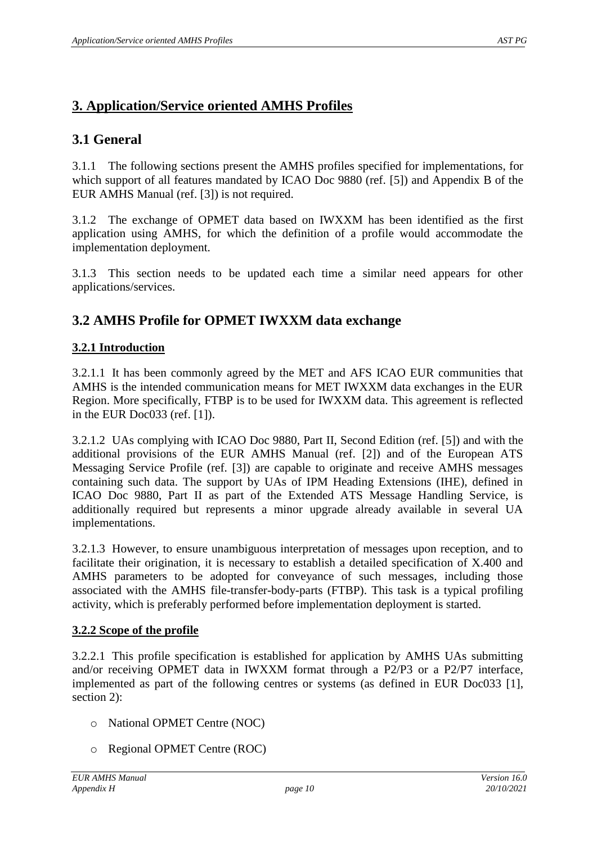## <span id="page-9-0"></span>**3. Application/Service oriented AMHS Profiles**

## <span id="page-9-1"></span>**3.1 General**

3.1.1 The following sections present the AMHS profiles specified for implementations, for which support of all features mandated by ICAO Doc 9880 (ref. [\[5\]\)](#page-3-0) and Appendix B of the EUR AMHS Manual (ref. [\[3\]\)](#page-3-1) is not required.

3.1.2 The exchange of OPMET data based on IWXXM has been identified as the first application using AMHS, for which the definition of a profile would accommodate the implementation deployment.

3.1.3 This section needs to be updated each time a similar need appears for other applications/services.

### <span id="page-9-2"></span>**3.2 AMHS Profile for OPMET IWXXM data exchange**

#### <span id="page-9-3"></span>**3.2.1 Introduction**

3.2.1.1 It has been commonly agreed by the MET and AFS ICAO EUR communities that AMHS is the intended communication means for MET IWXXM data exchanges in the EUR Region. More specifically, FTBP is to be used for IWXXM data. This agreement is reflected in the EUR Doc033 (ref. [\[1\]\)](#page-3-2).

3.2.1.2 UAs complying with ICAO Doc 9880, Part II, Second Edition (ref. [\[5\]\)](#page-3-0) and with the additional provisions of the EUR AMHS Manual (ref. [\[2\]\)](#page-3-3) and of the European ATS Messaging Service Profile (ref. [\[3\]\)](#page-3-1) are capable to originate and receive AMHS messages containing such data. The support by UAs of IPM Heading Extensions (IHE), defined in ICAO Doc 9880, Part II as part of the Extended ATS Message Handling Service, is additionally required but represents a minor upgrade already available in several UA implementations.

3.2.1.3 However, to ensure unambiguous interpretation of messages upon reception, and to facilitate their origination, it is necessary to establish a detailed specification of X.400 and AMHS parameters to be adopted for conveyance of such messages, including those associated with the AMHS file-transfer-body-parts (FTBP). This task is a typical profiling activity, which is preferably performed before implementation deployment is started.

#### <span id="page-9-4"></span>**3.2.2 Scope of the profile**

3.2.2.1 This profile specification is established for application by AMHS UAs submitting and/or receiving OPMET data in IWXXM format through a P2/P3 or a P2/P7 interface, implemented as part of the following centres or systems (as defined in EUR Doc033 [\[1\],](#page-3-2) section 2):

- o National OPMET Centre (NOC)
- o Regional OPMET Centre (ROC)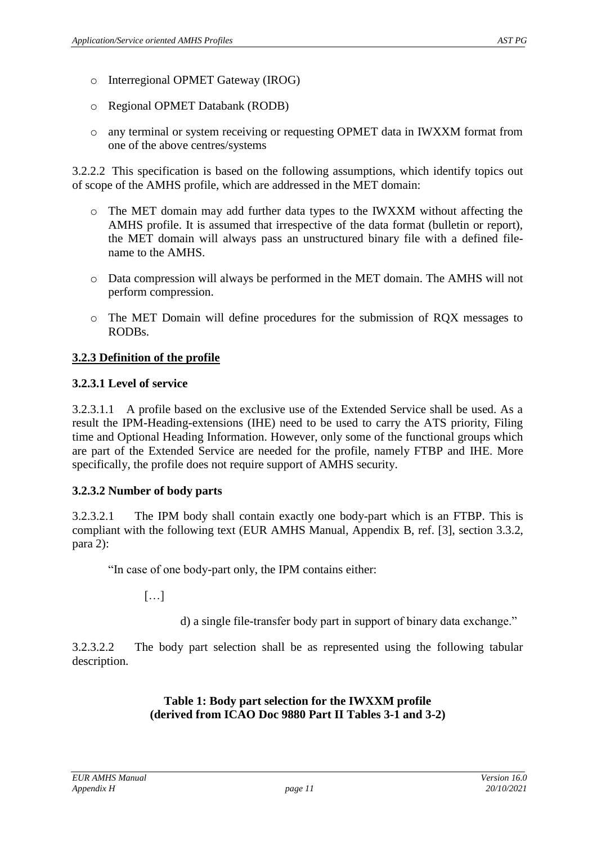- o Interregional OPMET Gateway (IROG)
- o Regional OPMET Databank (RODB)
- o any terminal or system receiving or requesting OPMET data in IWXXM format from one of the above centres/systems

3.2.2.2 This specification is based on the following assumptions, which identify topics out of scope of the AMHS profile, which are addressed in the MET domain:

- o The MET domain may add further data types to the IWXXM without affecting the AMHS profile. It is assumed that irrespective of the data format (bulletin or report), the MET domain will always pass an unstructured binary file with a defined filename to the AMHS.
- o Data compression will always be performed in the MET domain. The AMHS will not perform compression.
- o The MET Domain will define procedures for the submission of RQX messages to RODBs.

#### <span id="page-10-0"></span>**3.2.3 Definition of the profile**

#### <span id="page-10-1"></span>**3.2.3.1 Level of service**

3.2.3.1.1 A profile based on the exclusive use of the Extended Service shall be used. As a result the IPM-Heading-extensions (IHE) need to be used to carry the ATS priority, Filing time and Optional Heading Information. However, only some of the functional groups which are part of the Extended Service are needed for the profile, namely FTBP and IHE. More specifically, the profile does not require support of AMHS security.

#### <span id="page-10-2"></span>**3.2.3.2 Number of body parts**

3.2.3.2.1 The IPM body shall contain exactly one body-part which is an FTBP. This is compliant with the following text (EUR AMHS Manual, Appendix B, ref. [\[3\],](#page-3-1) section 3.3.2, para 2):

"In case of one body-part only, the IPM contains either:

 $[\dots]$ 

d) a single file-transfer body part in support of binary data exchange."

<span id="page-10-3"></span>3.2.3.2.2 The body part selection shall be as represented using the following tabular description.

#### **Table 1: Body part selection for the IWXXM profile (derived from ICAO Doc 9880 Part II Tables 3-1 and 3-2)**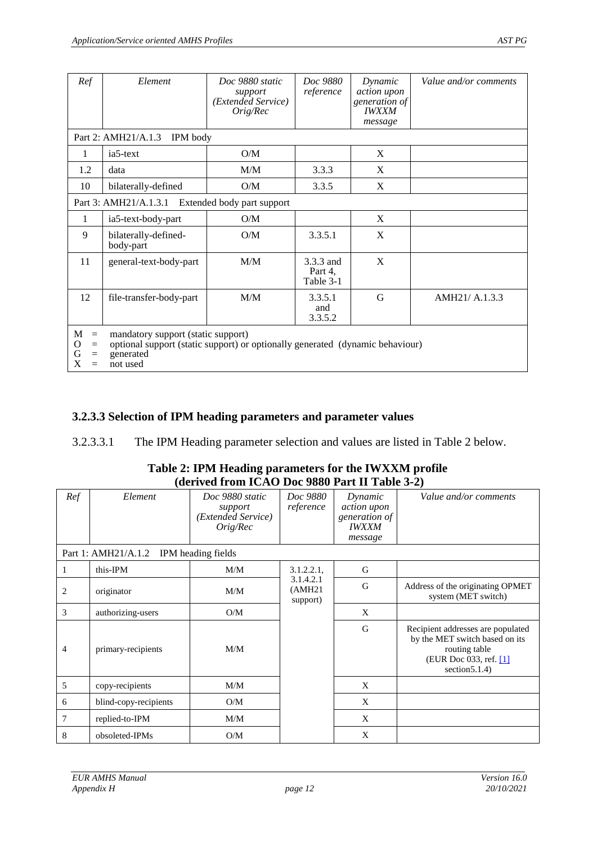| Ref                                          | Element                                                                                                                                      | Doc 9880 static<br>support<br>(Extended Service)<br>Orig/Rec | Doc 9880<br>reference             | Dynamic<br><i>action</i> upon<br>generation of<br><b>IWXXM</b><br>message | Value and/or comments |
|----------------------------------------------|----------------------------------------------------------------------------------------------------------------------------------------------|--------------------------------------------------------------|-----------------------------------|---------------------------------------------------------------------------|-----------------------|
|                                              | Part 2: AMH21/A.1.3<br><b>IPM</b> body                                                                                                       |                                                              |                                   |                                                                           |                       |
| 1                                            | ia5-text                                                                                                                                     | O/M                                                          |                                   | X                                                                         |                       |
| 1.2                                          | data                                                                                                                                         | M/M                                                          | 3.3.3                             | X                                                                         |                       |
| 10                                           | bilaterally-defined                                                                                                                          | O/M                                                          | 3.3.5                             | X                                                                         |                       |
|                                              | Part 3: AMH21/A.1.3.1                                                                                                                        | Extended body part support                                   |                                   |                                                                           |                       |
| 1                                            | ia5-text-body-part                                                                                                                           | O/M                                                          |                                   | X                                                                         |                       |
| 9                                            | bilaterally-defined-<br>body-part                                                                                                            | O/M                                                          | 3.3.5.1                           | X                                                                         |                       |
| 11                                           | general-text-body-part                                                                                                                       | M/M                                                          | 3.3.3 and<br>Part 4,<br>Table 3-1 | X                                                                         |                       |
| 12                                           | file-transfer-body-part                                                                                                                      | M/M                                                          | 3.3.5.1<br>and<br>3.3.5.2         | G                                                                         | AMH21/ A.1.3.3        |
| M<br>$=$<br>O<br>$=$<br>G<br>$=$<br>X<br>$=$ | mandatory support (static support)<br>optional support (static support) or optionally generated (dynamic behaviour)<br>generated<br>not used |                                                              |                                   |                                                                           |                       |

<span id="page-11-0"></span>**3.2.3.3 Selection of IPM heading parameters and parameter values** 

<span id="page-11-1"></span>3.2.3.3.1 The IPM Heading parameter selection and values are listed in Table 2 below.

#### **Table 2: IPM Heading parameters for the IWXXM profile (derived from ICAO Doc 9880 Part II Table 3-2)**

| Ref | Element                                | Doc 9880 static<br>support<br>(Extended Service)<br>$O$ rig/ $Rec$ | Doc 9880<br>reference            | Dynamic<br><i>action</i> upon<br>generation of<br><b>IWXXM</b><br>message | Value and/or comments                                                                                                               |
|-----|----------------------------------------|--------------------------------------------------------------------|----------------------------------|---------------------------------------------------------------------------|-------------------------------------------------------------------------------------------------------------------------------------|
|     | Part 1: AMH21/A.1.2 IPM heading fields |                                                                    |                                  |                                                                           |                                                                                                                                     |
| 1   | this-IPM                               | M/M                                                                | 3.1.2.2.1,                       | G                                                                         |                                                                                                                                     |
| 2   | originator                             | M/M                                                                | 3.1.4.2.1<br>(AMH21)<br>support) | G                                                                         | Address of the originating OPMET<br>system (MET switch)                                                                             |
| 3   | authorizing-users                      | O/M                                                                |                                  | X                                                                         |                                                                                                                                     |
| 4   | primary-recipients                     | M/M                                                                |                                  | G                                                                         | Recipient addresses are populated<br>by the MET switch based on its<br>routing table<br>(EUR Doc 033, ref. [1]<br>section $5.1.4$ ) |
| 5   | copy-recipients                        | M/M                                                                |                                  | X                                                                         |                                                                                                                                     |
| 6   | blind-copy-recipients                  | O/M                                                                |                                  | X                                                                         |                                                                                                                                     |
| 7   | replied-to-IPM                         | M/M                                                                |                                  | X                                                                         |                                                                                                                                     |
| 8   | obsoleted-IPMs                         | O/M                                                                |                                  | X                                                                         |                                                                                                                                     |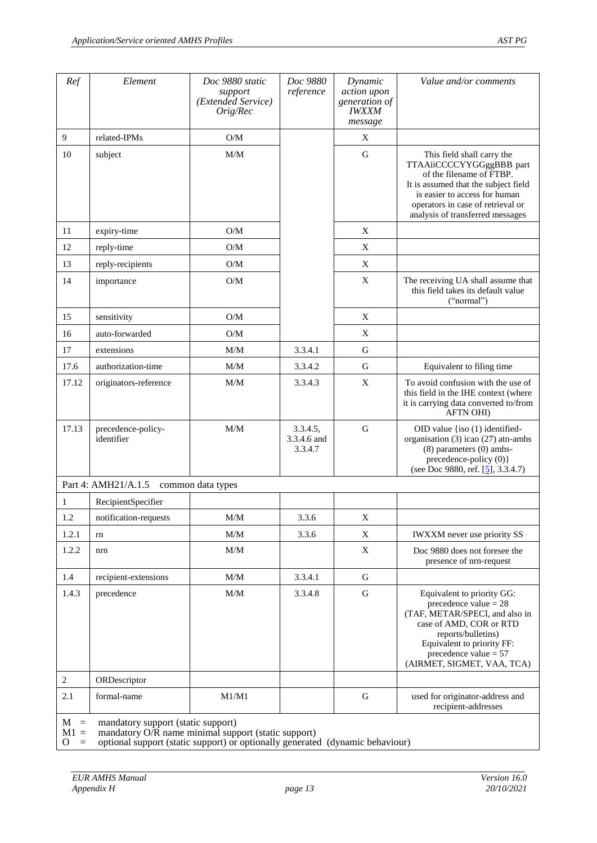| Ref             | Element                            | Doc 9880 static<br>support<br>(Extended Service)<br>Orig/Rec | Doc 9880<br>reference              | Dynamic<br>action upon<br>generation of<br><b>IWXXM</b><br>message | Value and/or comments                                                                                                                                                                                                                |
|-----------------|------------------------------------|--------------------------------------------------------------|------------------------------------|--------------------------------------------------------------------|--------------------------------------------------------------------------------------------------------------------------------------------------------------------------------------------------------------------------------------|
| 9               | related-IPMs                       | O/M                                                          |                                    | X                                                                  |                                                                                                                                                                                                                                      |
| 10              | subject                            | M/M                                                          |                                    | ${\bf G}$                                                          | This field shall carry the<br>TTAAiiCCCCYYGGggBBB part<br>of the filename of FTBP.<br>It is assumed that the subject field<br>is easier to access for human<br>operators in case of retrieval or<br>analysis of transferred messages |
| 11              | expiry-time                        | O/M                                                          |                                    | $\mathbf X$                                                        |                                                                                                                                                                                                                                      |
| 12              | reply-time                         | O/M                                                          |                                    | X                                                                  |                                                                                                                                                                                                                                      |
| 13              | reply-recipients                   | O/M                                                          |                                    | X                                                                  |                                                                                                                                                                                                                                      |
| 14              | importance                         | O/M                                                          |                                    | X                                                                  | The receiving UA shall assume that<br>this field takes its default value<br>("normal")                                                                                                                                               |
| 15              | sensitivity                        | O/M                                                          |                                    | X                                                                  |                                                                                                                                                                                                                                      |
| 16              | auto-forwarded                     | O/M                                                          |                                    | X                                                                  |                                                                                                                                                                                                                                      |
| 17              | extensions                         | M/M                                                          | 3.3.4.1                            | G                                                                  |                                                                                                                                                                                                                                      |
| 17.6            | authorization-time                 | M/M                                                          | 3.3.4.2                            | G                                                                  | Equivalent to filing time                                                                                                                                                                                                            |
| 17.12           | originators-reference              | $\text{M}/\text{M}$                                          | 3.3.4.3                            | X                                                                  | To avoid confusion with the use of<br>this field in the IHE context (where<br>it is carrying data converted to/from<br><b>AFTN OHI</b> )                                                                                             |
| 17.13           | precedence-policy-<br>identifier   | $\text{M}/\text{M}$                                          | 3.3.4.5,<br>3.3.4.6 and<br>3.3.4.7 | $\mathbf G$                                                        | OID value {iso (1) identified-<br>organisation (3) icao (27) atn-amhs<br>$(8)$ parameters $(0)$ amhs-<br>precedence-policy (0)}<br>(see Doc 9880, ref. [5], 3.3.4.7)                                                                 |
|                 | Part 4: AMH21/A.1.5                | common data types                                            |                                    |                                                                    |                                                                                                                                                                                                                                      |
| $\mathbf{1}$    | RecipientSpecifier                 |                                                              |                                    |                                                                    |                                                                                                                                                                                                                                      |
| 1.2             | notification-requests              | M/M                                                          | 3.3.6                              | X                                                                  |                                                                                                                                                                                                                                      |
| 1.2.1           | rn                                 | M/M                                                          | 3.3.6                              | X                                                                  | <b>IWXXM</b> never use priority SS                                                                                                                                                                                                   |
| 1.2.2           | nrn                                | M/M                                                          |                                    | X                                                                  | Doc 9880 does not foresee the<br>presence of nrn-request                                                                                                                                                                             |
| 1.4             | recipient-extensions               | M/M                                                          | 3.3.4.1                            | ${\bf G}$                                                          |                                                                                                                                                                                                                                      |
| 1.4.3           | precedence                         | M/M                                                          | 3.3.4.8                            | ${\bf G}$                                                          | Equivalent to priority GG:<br>precedence value $= 28$<br>(TAF, METAR/SPECI, and also in<br>case of AMD, COR or RTD<br>reports/bulletins)<br>Equivalent to priority FF:<br>precedence value $= 57$<br>(AIRMET, SIGMET, VAA, TCA)      |
| 2               | ORDescriptor                       |                                                              |                                    |                                                                    |                                                                                                                                                                                                                                      |
| 2.1             | formal-name                        | M1/M1                                                        |                                    | G                                                                  | used for originator-address and<br>recipient-addresses                                                                                                                                                                               |
| $M =$<br>$M1 =$ | mandatory support (static support) | mandatory O/R name minimal support (static support)          |                                    |                                                                    |                                                                                                                                                                                                                                      |

O = optional support (static support) or optionally generated (dynamic behaviour)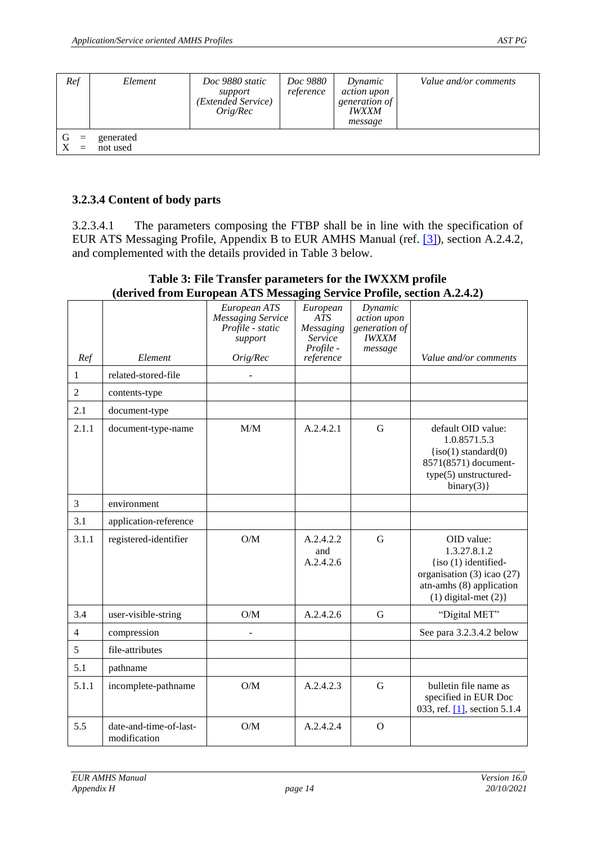| Ref             | Element               | Doc 9880 static<br>support<br>(Extended Service)<br>O <i>rig/Rec</i> | <i>Doc 9880</i><br>reference | Dynamic<br><i>action upon</i><br>generation of<br><i><b>IWXXM</b></i><br>message | Value and/or comments |
|-----------------|-----------------------|----------------------------------------------------------------------|------------------------------|----------------------------------------------------------------------------------|-----------------------|
| G<br>$=$<br>$=$ | generated<br>not used |                                                                      |                              |                                                                                  |                       |

#### <span id="page-13-0"></span>**3.2.3.4 Content of body parts**

3.2.3.4.1 The parameters composing the FTBP shall be in line with the specification of EUR ATS Messaging Profile, Appendix B to EUR AMHS Manual (ref. [\[3\]\)](#page-3-1), section A.2.4.2, and complemented with the details provided in Table 3 below.

<span id="page-13-1"></span>

| Ref            | Element                                | European ATS<br><b>Messaging Service</b><br>Profile - static<br>support<br>Orig/Rec | European<br>ATS<br>Messaging<br>Service<br>Profile -<br>reference | Dynamic<br>action upon<br>generation of<br><b>IWXXM</b><br>message | Value and/or comments                                                                                                                                    |
|----------------|----------------------------------------|-------------------------------------------------------------------------------------|-------------------------------------------------------------------|--------------------------------------------------------------------|----------------------------------------------------------------------------------------------------------------------------------------------------------|
| 1              | related-stored-file                    |                                                                                     |                                                                   |                                                                    |                                                                                                                                                          |
| $\overline{2}$ | contents-type                          |                                                                                     |                                                                   |                                                                    |                                                                                                                                                          |
| 2.1            | document-type                          |                                                                                     |                                                                   |                                                                    |                                                                                                                                                          |
| 2.1.1          | document-type-name                     | M/M                                                                                 | A.2.4.2.1                                                         | G                                                                  | default OID value:<br>1.0.8571.5.3<br>$\{iso(1) standard(0)\}$<br>8571(8571) document-<br>type(5) unstructured-<br>binary(3)                             |
| 3              | environment                            |                                                                                     |                                                                   |                                                                    |                                                                                                                                                          |
| 3.1            | application-reference                  |                                                                                     |                                                                   |                                                                    |                                                                                                                                                          |
| 3.1.1          | registered-identifier                  | O/M                                                                                 | A.2.4.2.2<br>and<br>A.2.4.2.6                                     | G                                                                  | OID value:<br>1.3.27.8.1.2<br>$\{ \text{iso } (1) \}$ identified-<br>organisation (3) icao (27)<br>atn-amhs (8) application<br>$(1)$ digital-met $(2)$ } |
| 3.4            | user-visible-string                    | O/M                                                                                 | A.2.4.2.6                                                         | $\mathbf G$                                                        | "Digital MET"                                                                                                                                            |
| $\overline{4}$ | compression                            |                                                                                     |                                                                   |                                                                    | See para 3.2.3.4.2 below                                                                                                                                 |
| 5              | file-attributes                        |                                                                                     |                                                                   |                                                                    |                                                                                                                                                          |
| 5.1            | pathname                               |                                                                                     |                                                                   |                                                                    |                                                                                                                                                          |
| 5.1.1          | incomplete-pathname                    | O/M                                                                                 | A.2.4.2.3                                                         | G                                                                  | bulletin file name as<br>specified in EUR Doc<br>033, ref. [1], section 5.1.4                                                                            |
| 5.5            | date-and-time-of-last-<br>modification | O/M                                                                                 | A.2.4.2.4                                                         | $\mathbf{O}$                                                       |                                                                                                                                                          |

#### **Table 3: File Transfer parameters for the IWXXM profile (derived from European ATS Messaging Service Profile, section A.2.4.2)**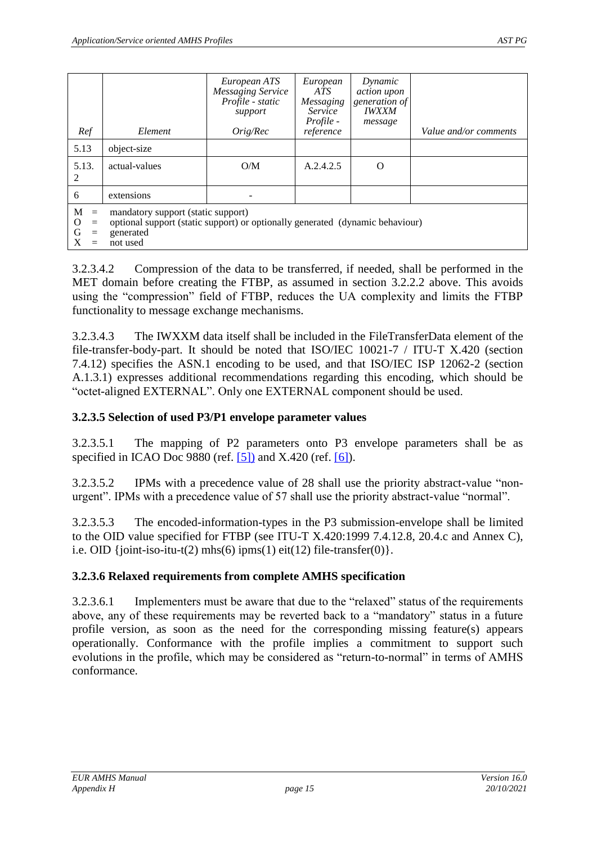| Ref                                                          | Element                                                                                                                                      | European ATS<br><b>Messaging Service</b><br>Profile - static<br>support<br>$Ori$ g/ $Rec$ | European<br>ATS<br>Messaging<br>Service<br><i>Profile</i> -<br>reference | Dynamic<br><i>action</i> upon<br>generation of<br><b>IWXXM</b><br>message | Value and/or comments |  |
|--------------------------------------------------------------|----------------------------------------------------------------------------------------------------------------------------------------------|-------------------------------------------------------------------------------------------|--------------------------------------------------------------------------|---------------------------------------------------------------------------|-----------------------|--|
| 5.13                                                         | object-size                                                                                                                                  |                                                                                           |                                                                          |                                                                           |                       |  |
| 5.13.<br>2                                                   | actual-values                                                                                                                                | O/M                                                                                       | A.2.4.2.5                                                                | $\Omega$                                                                  |                       |  |
| 6                                                            | extensions                                                                                                                                   |                                                                                           |                                                                          |                                                                           |                       |  |
| M<br>$\equiv$<br>$\mathbf{O}$<br>$=$<br>G<br>$=$<br>X<br>$=$ | mandatory support (static support)<br>optional support (static support) or optionally generated (dynamic behaviour)<br>generated<br>not used |                                                                                           |                                                                          |                                                                           |                       |  |

3.2.3.4.2 Compression of the data to be transferred, if needed, shall be performed in the MET domain before creating the FTBP, as assumed in section 3.2.2.2 above. This avoids using the "compression" field of FTBP, reduces the UA complexity and limits the FTBP functionality to message exchange mechanisms.

3.2.3.4.3 The IWXXM data itself shall be included in the FileTransferData element of the file-transfer-body-part. It should be noted that ISO/IEC 10021-7 / ITU-T X.420 (section 7.4.12) specifies the ASN.1 encoding to be used, and that ISO/IEC ISP 12062-2 (section A.1.3.1) expresses additional recommendations regarding this encoding, which should be "octet-aligned EXTERNAL". Only one EXTERNAL component should be used.

#### <span id="page-14-0"></span>**3.2.3.5 Selection of used P3/P1 envelope parameter values**

3.2.3.5.1 The mapping of P2 parameters onto P3 envelope parameters shall be as specified in ICAO Doc 9880 (ref. [\[5\]\)](#page-3-0) and X.420 (ref. [\[6\]\)](#page-3-4).

3.2.3.5.2 IPMs with a precedence value of 28 shall use the priority abstract-value "nonurgent". IPMs with a precedence value of 57 shall use the priority abstract-value "normal".

3.2.3.5.3 The encoded-information-types in the P3 submission-envelope shall be limited to the OID value specified for FTBP (see ITU-T X.420:1999 7.4.12.8, 20.4.c and Annex C), i.e. OID {joint-iso-itu-t(2) mhs(6) ipms(1) eit(12) file-transfer(0)}.

#### <span id="page-14-1"></span>**3.2.3.6 Relaxed requirements from complete AMHS specification**

3.2.3.6.1 Implementers must be aware that due to the "relaxed" status of the requirements above, any of these requirements may be reverted back to a "mandatory" status in a future profile version, as soon as the need for the corresponding missing feature(s) appears operationally. Conformance with the profile implies a commitment to support such evolutions in the profile, which may be considered as "return-to-normal" in terms of AMHS conformance.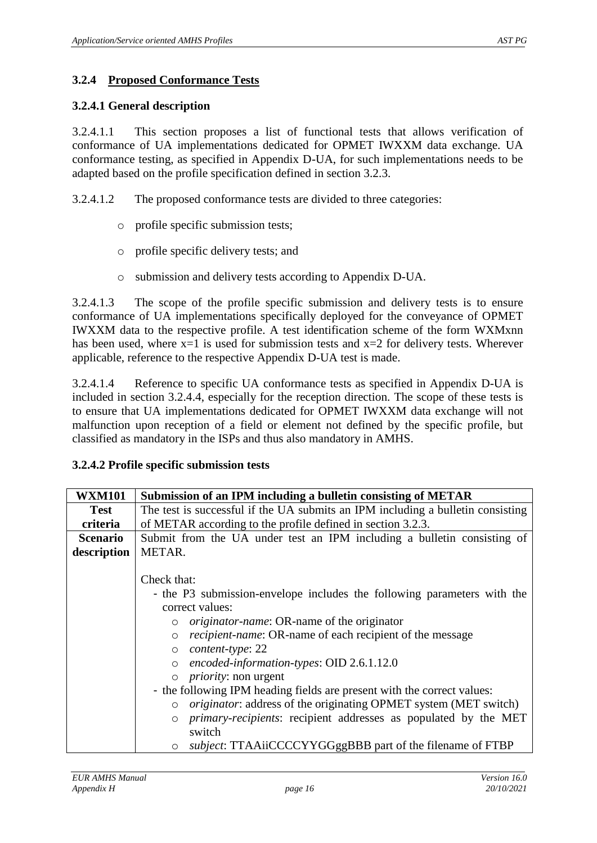#### <span id="page-15-0"></span>**3.2.4 Proposed Conformance Tests**

#### <span id="page-15-1"></span>**3.2.4.1 General description**

3.2.4.1.1 This section proposes a list of functional tests that allows verification of conformance of UA implementations dedicated for OPMET IWXXM data exchange. UA conformance testing, as specified in Appendix D-UA, for such implementations needs to be adapted based on the profile specification defined in section 3.2.3.

3.2.4.1.2 The proposed conformance tests are divided to three categories:

- o profile specific submission tests;
- o profile specific delivery tests; and
- o submission and delivery tests according to Appendix D-UA.

3.2.4.1.3 The scope of the profile specific submission and delivery tests is to ensure conformance of UA implementations specifically deployed for the conveyance of OPMET IWXXM data to the respective profile. A test identification scheme of the form WXMxnn has been used, where  $x=1$  is used for submission tests and  $x=2$  for delivery tests. Wherever applicable, reference to the respective Appendix D-UA test is made.

3.2.4.1.4 Reference to specific UA conformance tests as specified in Appendix D-UA is included in section 3.2.4.4, especially for the reception direction. The scope of these tests is to ensure that UA implementations dedicated for OPMET IWXXM data exchange will not malfunction upon reception of a field or element not defined by the specific profile, but classified as mandatory in the ISPs and thus also mandatory in AMHS.

| <b>WXM101</b>   | Submission of an IPM including a bulletin consisting of METAR                       |  |  |  |  |  |
|-----------------|-------------------------------------------------------------------------------------|--|--|--|--|--|
| <b>Test</b>     | The test is successful if the UA submits an IPM including a bulletin consisting     |  |  |  |  |  |
| criteria        | of METAR according to the profile defined in section 3.2.3.                         |  |  |  |  |  |
| <b>Scenario</b> | Submit from the UA under test an IPM including a bulletin consisting of             |  |  |  |  |  |
| description     | METAR.                                                                              |  |  |  |  |  |
|                 |                                                                                     |  |  |  |  |  |
|                 | Check that:                                                                         |  |  |  |  |  |
|                 | - the P3 submission-envelope includes the following parameters with the             |  |  |  |  |  |
|                 | correct values:                                                                     |  |  |  |  |  |
|                 | <i>originator-name</i> : OR-name of the originator<br>$\circ$                       |  |  |  |  |  |
|                 | <i>recipient-name:</i> OR-name of each recipient of the message<br>$\circ$          |  |  |  |  |  |
|                 | content-type: 22<br>$\circ$                                                         |  |  |  |  |  |
|                 | encoded-information-types: OID 2.6.1.12.0<br>$\circ$                                |  |  |  |  |  |
|                 | <i>priority</i> : non urgent                                                        |  |  |  |  |  |
|                 | - the following IPM heading fields are present with the correct values:             |  |  |  |  |  |
|                 | <i>originator</i> : address of the originating OPMET system (MET switch)<br>$\circ$ |  |  |  |  |  |
|                 | <i>primary-recipients:</i> recipient addresses as populated by the MET<br>$\circ$   |  |  |  |  |  |
|                 | switch                                                                              |  |  |  |  |  |
|                 | <i>subject</i> : TTAAiiCCCCYYGGggBBB part of the filename of FTBP                   |  |  |  |  |  |

#### <span id="page-15-2"></span>**3.2.4.2 Profile specific submission tests**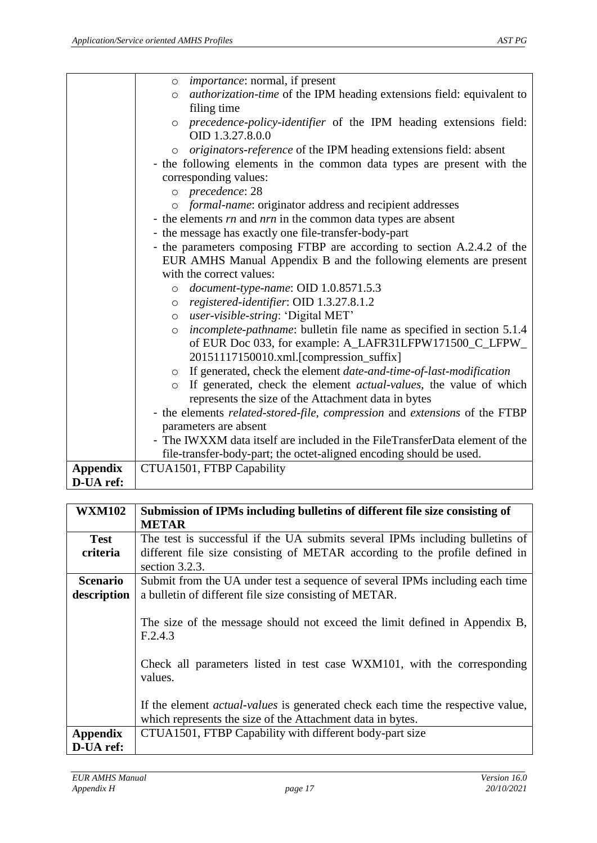|                 | o <i>importance</i> : normal, if present                                                |
|-----------------|-----------------------------------------------------------------------------------------|
|                 | <i>authorization-time</i> of the IPM heading extensions field: equivalent to<br>$\circ$ |
|                 | filing time                                                                             |
|                 | precedence-policy-identifier of the IPM heading extensions field:<br>$\circ$            |
|                 | OID 1.3.27.8.0.0                                                                        |
|                 | originators-reference of the IPM heading extensions field: absent<br>$\circ$            |
|                 | - the following elements in the common data types are present with the                  |
|                 | corresponding values:                                                                   |
|                 | o precedence: 28                                                                        |
|                 | o formal-name: originator address and recipient addresses                               |
|                 | - the elements $rn$ and $nrn$ in the common data types are absent                       |
|                 | - the message has exactly one file-transfer-body-part                                   |
|                 | - the parameters composing FTBP are according to section A.2.4.2 of the                 |
|                 | EUR AMHS Manual Appendix B and the following elements are present                       |
|                 | with the correct values:                                                                |
|                 | $\circ$ document-type-name: OID 1.0.8571.5.3                                            |
|                 | registered-identifier: OID 1.3.27.8.1.2<br>$\circ$                                      |
|                 | user-visible-string: 'Digital MET'<br>$\circ$                                           |
|                 | incomplete-pathname: bulletin file name as specified in section 5.1.4<br>$\circ$        |
|                 | of EUR Doc 033, for example: A_LAFR31LFPW171500_C_LFPW_                                 |
|                 | 20151117150010.xml.[compression_suffix]                                                 |
|                 | o If generated, check the element date-and-time-of-last-modification                    |
|                 | If generated, check the element <i>actual-values</i> , the value of which<br>$\circ$    |
|                 | represents the size of the Attachment data in bytes                                     |
|                 | - the elements related-stored-file, compression and extensions of the FTBP              |
|                 | parameters are absent                                                                   |
|                 | - The IWXXM data itself are included in the FileTransferData element of the             |
|                 | file-transfer-body-part; the octet-aligned encoding should be used.                     |
| <b>Appendix</b> | CTUA1501, FTBP Capability                                                               |
| D-UA ref:       |                                                                                         |

| <b>WXM102</b>   | Submission of IPMs including bulletins of different file size consisting of                                                                          |
|-----------------|------------------------------------------------------------------------------------------------------------------------------------------------------|
|                 | <b>METAR</b>                                                                                                                                         |
| <b>Test</b>     | The test is successful if the UA submits several IPMs including bulletins of                                                                         |
| criteria        | different file size consisting of METAR according to the profile defined in                                                                          |
|                 | section $3.2.3$ .                                                                                                                                    |
| <b>Scenario</b> | Submit from the UA under test a sequence of several IPMs including each time                                                                         |
| description     | a bulletin of different file size consisting of METAR.                                                                                               |
|                 | The size of the message should not exceed the limit defined in Appendix B,<br>F.2.4.3                                                                |
|                 | Check all parameters listed in test case WXM101, with the corresponding<br>values.                                                                   |
|                 | If the element <i>actual-values</i> is generated check each time the respective value,<br>which represents the size of the Attachment data in bytes. |
| <b>Appendix</b> | CTUA1501, FTBP Capability with different body-part size                                                                                              |
| D-UA ref:       |                                                                                                                                                      |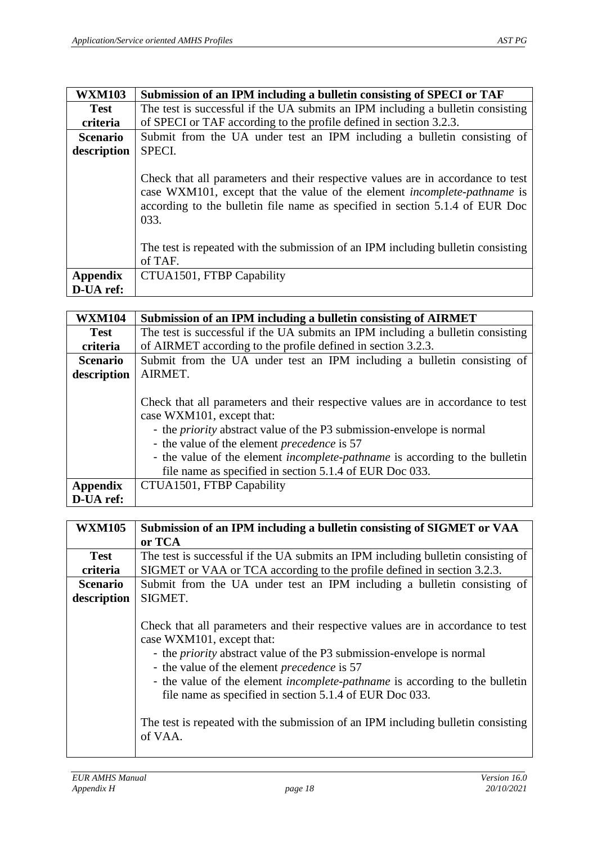| <b>WXM103</b>   | Submission of an IPM including a bulletin consisting of SPECI or TAF                                                                                                                                                                                       |
|-----------------|------------------------------------------------------------------------------------------------------------------------------------------------------------------------------------------------------------------------------------------------------------|
| <b>Test</b>     | The test is successful if the UA submits an IPM including a bulletin consisting                                                                                                                                                                            |
| criteria        | of SPECI or TAF according to the profile defined in section 3.2.3.                                                                                                                                                                                         |
| <b>Scenario</b> | Submit from the UA under test an IPM including a bulletin consisting of                                                                                                                                                                                    |
| description     | SPECI.                                                                                                                                                                                                                                                     |
|                 | Check that all parameters and their respective values are in accordance to test<br>case WXM101, except that the value of the element <i>incomplete-pathname</i> is<br>according to the bulletin file name as specified in section 5.1.4 of EUR Doc<br>033. |
|                 | The test is repeated with the submission of an IPM including bulletin consisting<br>of TAF.                                                                                                                                                                |
| <b>Appendix</b> | CTUA1501, FTBP Capability                                                                                                                                                                                                                                  |
| D-UA ref:       |                                                                                                                                                                                                                                                            |

| <b>WXM104</b>   | Submission of an IPM including a bulletin consisting of AIRMET                                                                                                                                                                                                                                                                                                                                      |
|-----------------|-----------------------------------------------------------------------------------------------------------------------------------------------------------------------------------------------------------------------------------------------------------------------------------------------------------------------------------------------------------------------------------------------------|
| <b>Test</b>     | The test is successful if the UA submits an IPM including a bulletin consisting                                                                                                                                                                                                                                                                                                                     |
| criteria        | of AIRMET according to the profile defined in section 3.2.3.                                                                                                                                                                                                                                                                                                                                        |
| <b>Scenario</b> | Submit from the UA under test an IPM including a bulletin consisting of                                                                                                                                                                                                                                                                                                                             |
| description     | AIRMET.                                                                                                                                                                                                                                                                                                                                                                                             |
|                 | Check that all parameters and their respective values are in accordance to test<br>case WXM101, except that:<br>- the <i>priority</i> abstract value of the P3 submission-envelope is normal<br>- the value of the element <i>precedence</i> is 57<br>- the value of the element <i>incomplete-pathname</i> is according to the bulletin<br>file name as specified in section 5.1.4 of EUR Doc 033. |
| <b>Appendix</b> | CTUA1501, FTBP Capability                                                                                                                                                                                                                                                                                                                                                                           |
| D-UA ref:       |                                                                                                                                                                                                                                                                                                                                                                                                     |

| <b>WXM105</b>   | Submission of an IPM including a bulletin consisting of SIGMET or VAA                                                                                                                                                                                                                                                                                                                                                                                                                       |
|-----------------|---------------------------------------------------------------------------------------------------------------------------------------------------------------------------------------------------------------------------------------------------------------------------------------------------------------------------------------------------------------------------------------------------------------------------------------------------------------------------------------------|
|                 | or TCA                                                                                                                                                                                                                                                                                                                                                                                                                                                                                      |
| <b>Test</b>     | The test is successful if the UA submits an IPM including bulletin consisting of                                                                                                                                                                                                                                                                                                                                                                                                            |
| criteria        | SIGMET or VAA or TCA according to the profile defined in section 3.2.3.                                                                                                                                                                                                                                                                                                                                                                                                                     |
| <b>Scenario</b> | Submit from the UA under test an IPM including a bulletin consisting of                                                                                                                                                                                                                                                                                                                                                                                                                     |
| description     | SIGMET.                                                                                                                                                                                                                                                                                                                                                                                                                                                                                     |
|                 | Check that all parameters and their respective values are in accordance to test<br>case WXM101, except that:<br>- the <i>priority</i> abstract value of the P3 submission-envelope is normal<br>- the value of the element precedence is 57<br>- the value of the element <i>incomplete-pathname</i> is according to the bulletin<br>file name as specified in section 5.1.4 of EUR Doc 033.<br>The test is repeated with the submission of an IPM including bulletin consisting<br>of VAA. |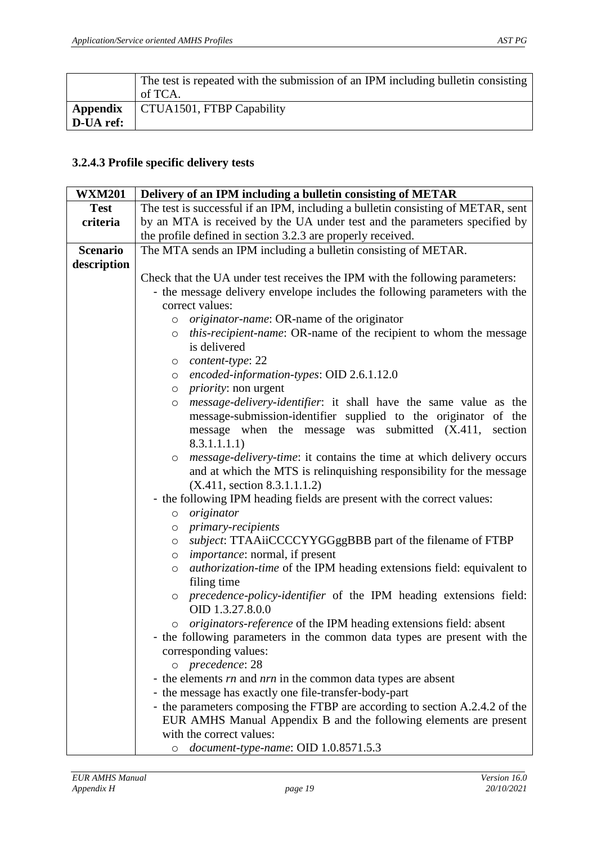|           | The test is repeated with the submission of an IPM including bulletin consisting<br>of TCA. |
|-----------|---------------------------------------------------------------------------------------------|
| D-UA ref: | Appendix   CTUA1501, FTBP Capability                                                        |

#### <span id="page-18-0"></span>**3.2.4.3 Profile specific delivery tests**

| <b>WXM201</b>   | Delivery of an IPM including a bulletin consisting of METAR                                      |
|-----------------|--------------------------------------------------------------------------------------------------|
| <b>Test</b>     | The test is successful if an IPM, including a bulletin consisting of METAR, sent                 |
| criteria        | by an MTA is received by the UA under test and the parameters specified by                       |
|                 | the profile defined in section 3.2.3 are properly received.                                      |
| <b>Scenario</b> | The MTA sends an IPM including a bulletin consisting of METAR.                                   |
| description     |                                                                                                  |
|                 | Check that the UA under test receives the IPM with the following parameters:                     |
|                 | - the message delivery envelope includes the following parameters with the                       |
|                 | correct values:                                                                                  |
|                 | <i>originator-name</i> : OR-name of the originator<br>$\circ$                                    |
|                 | <i>this-recipient-name:</i> OR-name of the recipient to whom the message<br>$\circ$              |
|                 | is delivered                                                                                     |
|                 | content-type: 22<br>$\circ$                                                                      |
|                 | encoded-information-types: OID 2.6.1.12.0<br>$\circ$                                             |
|                 | $\circ$ <i>priority</i> : non urgent                                                             |
|                 | message-delivery-identifier: it shall have the same value as the<br>$\circ$                      |
|                 | message-submission-identifier supplied to the originator of the                                  |
|                 | message when the message was submitted (X.411, section                                           |
|                 | 8.3.1.1.1.1)                                                                                     |
|                 | <i>message-delivery-time</i> : it contains the time at which delivery occurs<br>$\circ$          |
|                 | and at which the MTS is relinquishing responsibility for the message                             |
|                 | (X.411, section 8.3.1.1.1.2)                                                                     |
|                 | - the following IPM heading fields are present with the correct values:                          |
|                 | originator<br>$\circ$                                                                            |
|                 | <i>primary-recipients</i><br>$\circ$                                                             |
|                 | subject: TTAAiiCCCCYYGGggBBB part of the filename of FTBP<br>$\circ$                             |
|                 | <i>importance</i> : normal, if present<br>$\circ$                                                |
|                 | <i>authorization-time</i> of the IPM heading extensions field: equivalent to<br>$\circ$          |
|                 | filing time                                                                                      |
|                 | precedence-policy-identifier of the IPM heading extensions field:<br>$\circ$<br>OID 1.3.27.8.0.0 |
|                 | <i>originators-reference</i> of the IPM heading extensions field: absent<br>$\circ$              |
|                 | - the following parameters in the common data types are present with the                         |
|                 | corresponding values:                                                                            |
|                 | o precedence: 28                                                                                 |
|                 | - the elements rn and nrn in the common data types are absent                                    |
|                 | - the message has exactly one file-transfer-body-part                                            |
|                 | - the parameters composing the FTBP are according to section A.2.4.2 of the                      |
|                 | EUR AMHS Manual Appendix B and the following elements are present                                |
|                 | with the correct values:                                                                         |
|                 | o document-type-name: OID 1.0.8571.5.3                                                           |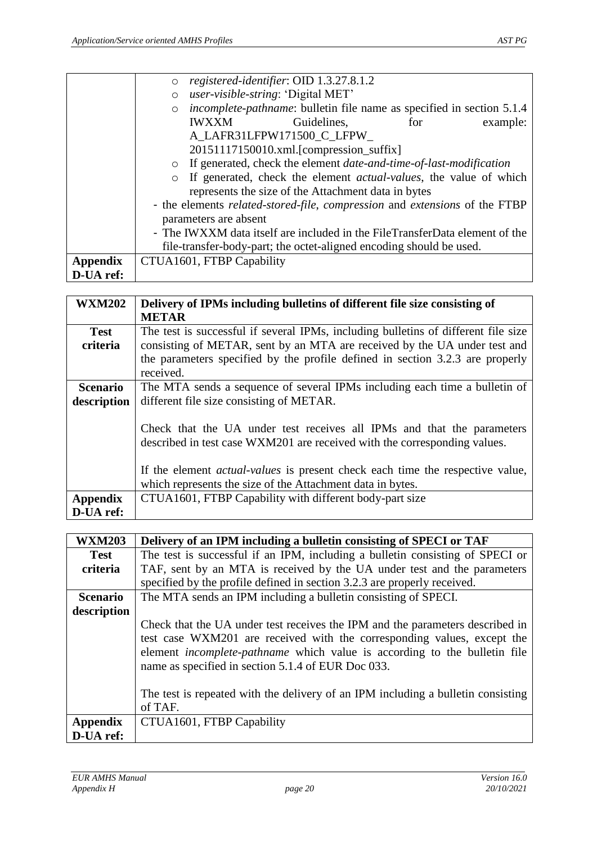|                 | registered-identifier: OID 1.3.27.8.1.2<br>$\circ$                                      |
|-----------------|-----------------------------------------------------------------------------------------|
|                 | user-visible-string: 'Digital MET'<br>$\circ$                                           |
|                 | <i>incomplete-pathname:</i> bulletin file name as specified in section 5.1.4<br>$\circ$ |
|                 | <b>IWXXM</b><br>Guidelines,<br>example:<br>for                                          |
|                 | A LAFR31LFPW171500 C LFPW                                                               |
|                 | 20151117150010.xml.[compression_suffix]                                                 |
|                 | o If generated, check the element <i>date-and-time-of-last-modification</i>             |
|                 | If generated, check the element <i>actual-values</i> , the value of which               |
|                 | represents the size of the Attachment data in bytes                                     |
|                 | - the elements related-stored-file, compression and extensions of the FTBP              |
|                 | parameters are absent                                                                   |
|                 | - The IWXXM data itself are included in the FileTransferData element of the             |
|                 | file-transfer-body-part; the octet-aligned encoding should be used.                     |
| <b>Appendix</b> | CTUA1601, FTBP Capability                                                               |
| D-UA ref:       |                                                                                         |

| <b>WXM202</b>   | Delivery of IPMs including bulletins of different file size consisting of                                                                                                                                                                                                                                 |
|-----------------|-----------------------------------------------------------------------------------------------------------------------------------------------------------------------------------------------------------------------------------------------------------------------------------------------------------|
|                 | <b>METAR</b>                                                                                                                                                                                                                                                                                              |
| <b>Test</b>     | The test is successful if several IPMs, including bulletins of different file size                                                                                                                                                                                                                        |
| criteria        | consisting of METAR, sent by an MTA are received by the UA under test and                                                                                                                                                                                                                                 |
|                 | the parameters specified by the profile defined in section 3.2.3 are properly                                                                                                                                                                                                                             |
|                 | received.                                                                                                                                                                                                                                                                                                 |
| <b>Scenario</b> | The MTA sends a sequence of several IPMs including each time a bulletin of                                                                                                                                                                                                                                |
| description     | different file size consisting of METAR.                                                                                                                                                                                                                                                                  |
|                 | Check that the UA under test receives all IPMs and that the parameters<br>described in test case WXM201 are received with the corresponding values.<br>If the element <i>actual-values</i> is present check each time the respective value,<br>which represents the size of the Attachment data in bytes. |
| <b>Appendix</b> | CTUA1601, FTBP Capability with different body-part size                                                                                                                                                                                                                                                   |
| D-UA ref:       |                                                                                                                                                                                                                                                                                                           |

| <b>WXM203</b>   | Delivery of an IPM including a bulletin consisting of SPECI or TAF                                                                                                                                                                                                                                 |
|-----------------|----------------------------------------------------------------------------------------------------------------------------------------------------------------------------------------------------------------------------------------------------------------------------------------------------|
| <b>Test</b>     | The test is successful if an IPM, including a bulletin consisting of SPECI or                                                                                                                                                                                                                      |
| criteria        | TAF, sent by an MTA is received by the UA under test and the parameters                                                                                                                                                                                                                            |
|                 | specified by the profile defined in section 3.2.3 are properly received.                                                                                                                                                                                                                           |
| <b>Scenario</b> | The MTA sends an IPM including a bulletin consisting of SPECI.                                                                                                                                                                                                                                     |
| description     |                                                                                                                                                                                                                                                                                                    |
|                 | Check that the UA under test receives the IPM and the parameters described in<br>test case WXM201 are received with the corresponding values, except the<br>element <i>incomplete-pathname</i> which value is according to the bulletin file<br>name as specified in section 5.1.4 of EUR Doc 033. |
|                 | The test is repeated with the delivery of an IPM including a bulletin consisting<br>of TAF.                                                                                                                                                                                                        |
| <b>Appendix</b> | CTUA1601, FTBP Capability                                                                                                                                                                                                                                                                          |
| D-UA ref:       |                                                                                                                                                                                                                                                                                                    |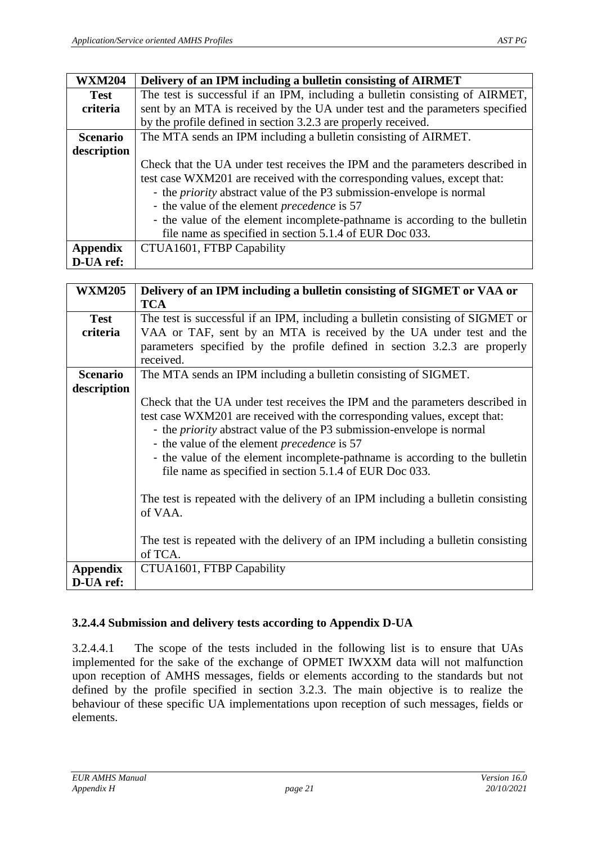| <b>WXM204</b>   | Delivery of an IPM including a bulletin consisting of AIRMET                                                                                                                                                                                                                                                                                                                                                                               |
|-----------------|--------------------------------------------------------------------------------------------------------------------------------------------------------------------------------------------------------------------------------------------------------------------------------------------------------------------------------------------------------------------------------------------------------------------------------------------|
|                 |                                                                                                                                                                                                                                                                                                                                                                                                                                            |
| <b>Test</b>     | The test is successful if an IPM, including a bulletin consisting of AIRMET,                                                                                                                                                                                                                                                                                                                                                               |
| criteria        | sent by an MTA is received by the UA under test and the parameters specified                                                                                                                                                                                                                                                                                                                                                               |
|                 | by the profile defined in section 3.2.3 are properly received.                                                                                                                                                                                                                                                                                                                                                                             |
| <b>Scenario</b> | The MTA sends an IPM including a bulletin consisting of AIRMET.                                                                                                                                                                                                                                                                                                                                                                            |
| description     |                                                                                                                                                                                                                                                                                                                                                                                                                                            |
|                 | Check that the UA under test receives the IPM and the parameters described in<br>test case WXM201 are received with the corresponding values, except that:<br>- the <i>priority</i> abstract value of the P3 submission-envelope is normal<br>- the value of the element <i>precedence</i> is 57<br>- the value of the element incomplete-pathname is according to the bulletin<br>file name as specified in section 5.1.4 of EUR Doc 033. |
| <b>Appendix</b> | CTUA1601, FTBP Capability                                                                                                                                                                                                                                                                                                                                                                                                                  |
| D-UA ref:       |                                                                                                                                                                                                                                                                                                                                                                                                                                            |

| <b>WXM205</b>                | Delivery of an IPM including a bulletin consisting of SIGMET or VAA or                                                                                                                                                                                                                                                                                                                                                                                                                                                                    |
|------------------------------|-------------------------------------------------------------------------------------------------------------------------------------------------------------------------------------------------------------------------------------------------------------------------------------------------------------------------------------------------------------------------------------------------------------------------------------------------------------------------------------------------------------------------------------------|
|                              | <b>TCA</b>                                                                                                                                                                                                                                                                                                                                                                                                                                                                                                                                |
| <b>Test</b>                  | The test is successful if an IPM, including a bulletin consisting of SIGMET or                                                                                                                                                                                                                                                                                                                                                                                                                                                            |
| criteria                     | VAA or TAF, sent by an MTA is received by the UA under test and the                                                                                                                                                                                                                                                                                                                                                                                                                                                                       |
|                              | parameters specified by the profile defined in section 3.2.3 are properly                                                                                                                                                                                                                                                                                                                                                                                                                                                                 |
|                              | received.                                                                                                                                                                                                                                                                                                                                                                                                                                                                                                                                 |
| <b>Scenario</b>              | The MTA sends an IPM including a bulletin consisting of SIGMET.                                                                                                                                                                                                                                                                                                                                                                                                                                                                           |
| description                  |                                                                                                                                                                                                                                                                                                                                                                                                                                                                                                                                           |
|                              | Check that the UA under test receives the IPM and the parameters described in<br>test case WXM201 are received with the corresponding values, except that:<br>- the <i>priority</i> abstract value of the P3 submission-envelope is normal<br>- the value of the element <i>precedence</i> is 57<br>- the value of the element incomplete-pathname is according to the bulletin<br>file name as specified in section 5.1.4 of EUR Doc 033.<br>The test is repeated with the delivery of an IPM including a bulletin consisting<br>of VAA. |
| <b>Appendix</b><br>D-UA ref: | The test is repeated with the delivery of an IPM including a bulletin consisting<br>of TCA.<br>CTUA1601, FTBP Capability                                                                                                                                                                                                                                                                                                                                                                                                                  |

#### <span id="page-20-0"></span>**3.2.4.4 Submission and delivery tests according to Appendix D-UA**

3.2.4.4.1 The scope of the tests included in the following list is to ensure that UAs implemented for the sake of the exchange of OPMET IWXXM data will not malfunction upon reception of AMHS messages, fields or elements according to the standards but not defined by the profile specified in section 3.2.3. The main objective is to realize the behaviour of these specific UA implementations upon reception of such messages, fields or elements.